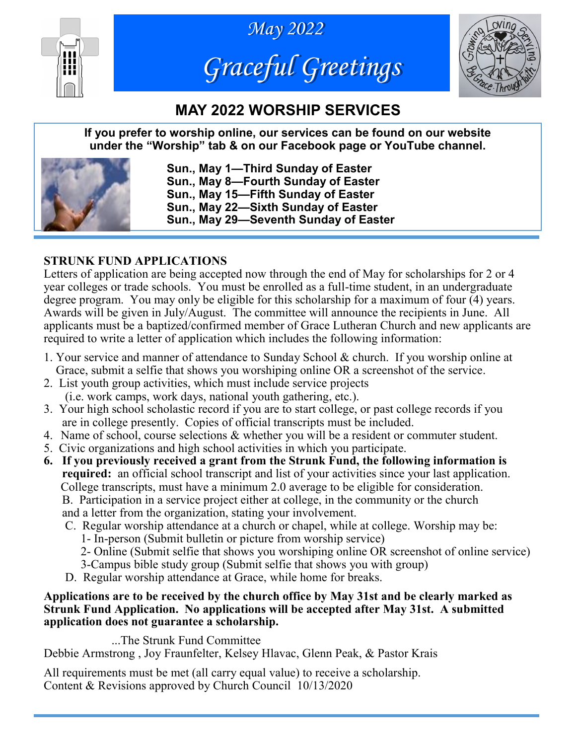





# **MAY 2022 WORSHIP SERVICES**

**If you prefer to worship online, our services can be found on our website under the "Worship" tab & on our Facebook page or YouTube channel.**



**Sun., May 1—Third Sunday of Easter Sun., May 8—Fourth Sunday of Easter Sun., May 15—Fifth Sunday of Easter Sun., May 22—Sixth Sunday of Easter Sun., May 29—Seventh Sunday of Easter**

### **STRUNK FUND APPLICATIONS**

Letters of application are being accepted now through the end of May for scholarships for 2 or 4 year colleges or trade schools. You must be enrolled as a full-time student, in an undergraduate degree program. You may only be eligible for this scholarship for a maximum of four (4) years. Awards will be given in July/August. The committee will announce the recipients in June. All applicants must be a baptized/confirmed member of Grace Lutheran Church and new applicants are required to write a letter of application which includes the following information:

- 1. Your service and manner of attendance to Sunday School & church. If you worship online at Grace, submit a selfie that shows you worshiping online OR a screenshot of the service.
- 2. List youth group activities, which must include service projects (i.e. work camps, work days, national youth gathering, etc.).
- 3. Your high school scholastic record if you are to start college, or past college records if you are in college presently. Copies of official transcripts must be included.
- 4. Name of school, course selections & whether you will be a resident or commuter student.
- 5. Civic organizations and high school activities in which you participate.
- **6. If you previously received a grant from the Strunk Fund, the following information is required:** an official school transcript and list of your activities since your last application. College transcripts, must have a minimum 2.0 average to be eligible for consideration. B. Participation in a service project either at college, in the community or the church and a letter from the organization, stating your involvement.
	- C. Regular worship attendance at a church or chapel, while at college. Worship may be:
		- 1- In-person (Submit bulletin or picture from worship service)
		- 2- Online (Submit selfie that shows you worshiping online OR screenshot of online service)
		- 3-Campus bible study group (Submit selfie that shows you with group)
	- D. Regular worship attendance at Grace, while home for breaks.

#### **Applications are to be received by the church office by May 31st and be clearly marked as Strunk Fund Application. No applications will be accepted after May 31st. A submitted application does not guarantee a scholarship.**

...The Strunk Fund Committee

Debbie Armstrong , Joy Fraunfelter, Kelsey Hlavac, Glenn Peak, & Pastor Krais

All requirements must be met (all carry equal value) to receive a scholarship. Content & Revisions approved by Church Council 10/13/2020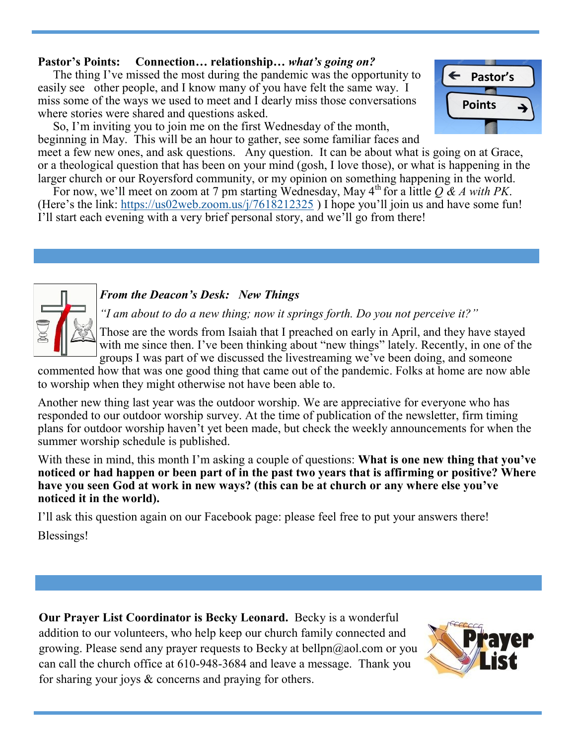#### **Pastor's Points: Connection… relationship…** *what's going on?*

 The thing I've missed the most during the pandemic was the opportunity to easily see other people, and I know many of you have felt the same way. I miss some of the ways we used to meet and I dearly miss those conversations where stories were shared and questions asked.

 So, I'm inviting you to join me on the first Wednesday of the month, beginning in May. This will be an hour to gather, see some familiar faces and meet a few new ones, and ask questions. Any question. It can be about what is going on at Grace,

or a theological question that has been on your mind (gosh, I love those), or what is happening in the larger church or our Royersford community, or my opinion on something happening in the world.

For now, we'll meet on zoom at 7 pm starting Wednesday, May  $4^{\text{th}}$  for a little  $O & A$  with PK. (Here's the link: <https://us02web.zoom.us/j/7618212325> ) I hope you'll join us and have some fun! I'll start each evening with a very brief personal story, and we'll go from there!

#### *From the Deacon's Desk: New Things*

*"I am about to do a new thing; now it springs forth. Do you not perceive it?"*

Those are the words from Isaiah that I preached on early in April, and they have stayed with me since then. I've been thinking about "new things" lately. Recently, in one of the groups I was part of we discussed the livestreaming we've been doing, and someone

commented how that was one good thing that came out of the pandemic. Folks at home are now able to worship when they might otherwise not have been able to.

Another new thing last year was the outdoor worship. We are appreciative for everyone who has responded to our outdoor worship survey. At the time of publication of the newsletter, firm timing plans for outdoor worship haven't yet been made, but check the weekly announcements for when the summer worship schedule is published.

With these in mind, this month I'm asking a couple of questions: **What is one new thing that you've noticed or had happen or been part of in the past two years that is affirming or positive? Where have you seen God at work in new ways? (this can be at church or any where else you've noticed it in the world).**

I'll ask this question again on our Facebook page: please feel free to put your answers there!

Blessings!

**Our Prayer List Coordinator is Becky Leonard.** Becky is a wonderful addition to our volunteers, who help keep our church family connected and growing. Please send any prayer requests to Becky at bellpn@aol.com or you can call the church office at 610-948-3684 and leave a message. Thank you for sharing your joys & concerns and praying for others.



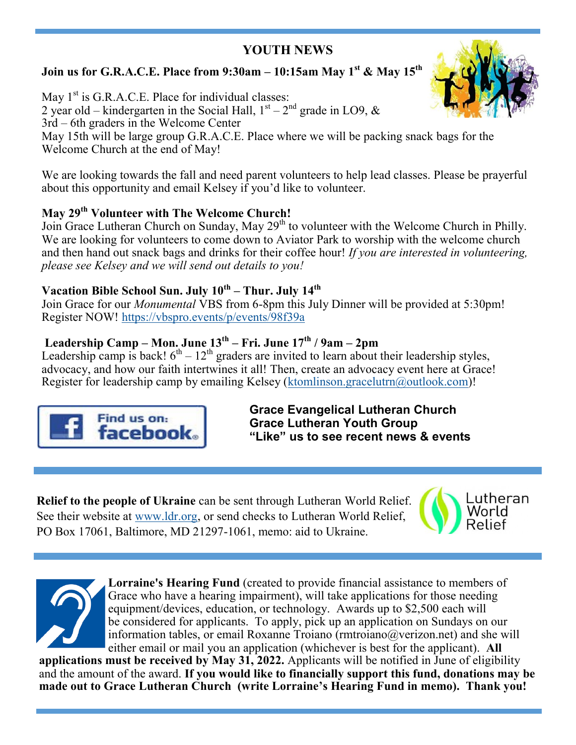## **YOUTH NEWS**

## **Join us for G.R.A.C.E. Place from 9:30am – 10:15am May 1st & May 15th**

May  $1<sup>st</sup>$  is G.R.A.C.E. Place for individual classes: 2 year old – kindergarten in the Social Hall,  $1<sup>st</sup> - 2<sup>nd</sup>$  grade in LO9, & 3rd – 6th graders in the Welcome Center May 15th will be large group G.R.A.C.E. Place where we will be packing snack bags for the Welcome Church at the end of May!

We are looking towards the fall and need parent volunteers to help lead classes. Please be prayerful about this opportunity and email Kelsey if you'd like to volunteer.

### **May 29th Volunteer with The Welcome Church!**

Join Grace Lutheran Church on Sunday, May 29<sup>th</sup> to volunteer with the Welcome Church in Philly. We are looking for volunteers to come down to Aviator Park to worship with the welcome church and then hand out snack bags and drinks for their coffee hour! *If you are interested in volunteering, please see Kelsey and we will send out details to you!*

### **Vacation Bible School Sun. July 10th – Thur. July 14th**

Join Grace for our *Monumental* VBS from 6-8pm this July Dinner will be provided at 5:30pm! Register NOW! <https://vbspro.events/p/events/98f39a>

### **Leadership Camp – Mon. June 13th – Fri. June 17th / 9am – 2pm**

Leadership camp is back!  $6<sup>th</sup> - 12<sup>th</sup>$  graders are invited to learn about their leadership styles, advocacy, and how our faith intertwines it all! Then, create an advocacy event here at Grace! Register for leadership camp by emailing Kelsey ([ktomlinson.gracelutrn@outlook.com\)](mailto:ktomlinson.gracelutrn@outlook.com)!



**Grace Evangelical Lutheran Church Grace Lutheran Youth Group "Like" us to see recent news & events**

**Relief to the people of Ukraine** can be sent through Lutheran World Relief. See their website at [www.ldr.org,](http://www.ldr.org) or send checks to Lutheran World Relief, PO Box 17061, Baltimore, MD 21297-1061, memo: aid to Ukraine.





**Lorraine's Hearing Fund** (created to provide financial assistance to members of Grace who have a hearing impairment), will take applications for those needing equipment/devices, education, or technology. Awards up to \$2,500 each will be considered for applicants. To apply, pick up an application on Sundays on our information tables, or email Roxanne Troiano (rmtroiano  $@$ verizon.net) and she will either email or mail you an application (whichever is best for the applicant). **All** 

**applications must be received by May 31, 2022.** Applicants will be notified in June of eligibility and the amount of the award. **If you would like to financially support this fund, donations may be made out to Grace Lutheran Church (write Lorraine's Hearing Fund in memo). Thank you!**

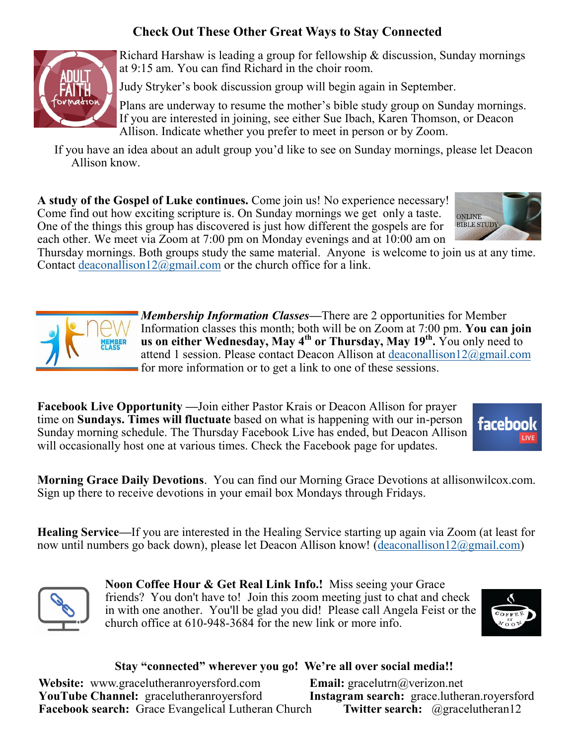## **Check Out These Other Great Ways to Stay Connected**



Richard Harshaw is leading a group for fellowship & discussion, Sunday mornings at 9:15 am. You can find Richard in the choir room.

Judy Stryker's book discussion group will begin again in September.

Plans are underway to resume the mother's bible study group on Sunday mornings. If you are interested in joining, see either Sue Ibach, Karen Thomson, or Deacon Allison. Indicate whether you prefer to meet in person or by Zoom.

If you have an idea about an adult group you'd like to see on Sunday mornings, please let Deacon Allison know.

**A study of the Gospel of Luke continues.** Come join us! No experience necessary! Come find out how exciting scripture is. On Sunday mornings we get only a taste. One of the things this group has discovered is just how different the gospels are for each other. We meet via Zoom at 7:00 pm on Monday evenings and at 10:00 am on



Thursday mornings. Both groups study the same material. Anyone is welcome to join us at any time. Contact [deaconallison12@gmail.com](mailto:deaconallison12@gmail.com) or the church office for a link.



*Membership Information Classes—*There are 2 opportunities for Member Information classes this month; both will be on Zoom at 7:00 pm. **You can join us on either Wednesday, May 4th or Thursday, May 19th .** You only need to attend 1 session. Please contact Deacon Allison at [deaconallison12@gmail.com](mailto:deaconallison12@gmail.com) for more information or to get a link to one of these sessions.

**Facebook Live Opportunity —**Join either Pastor Krais or Deacon Allison for prayer time on **Sundays. Times will fluctuate** based on what is happening with our in-person Sunday morning schedule. The Thursday Facebook Live has ended, but Deacon Allison will occasionally host one at various times. Check the Facebook page for updates.



**Morning Grace Daily Devotions**. You can find our Morning Grace Devotions at allisonwilcox.com. Sign up there to receive devotions in your email box Mondays through Fridays.

**Healing Service***—*If you are interested in the Healing Service starting up again via Zoom (at least for now until numbers go back down), please let Deacon Allison know! ([deaconallison12@gmail.com\)](mailto:deaconallison12@gmail.com)



**Noon Coffee Hour & Get Real Link Info.!** Miss seeing your Grace friends? You don't have to! Join this zoom meeting just to chat and check in with one another. You'll be glad you did! Please call Angela Feist or the church office at 610-948-3684 for the new link or more info.



#### **Stay "connected" wherever you go! We're all over social media!!**

**Website:** www.gracelutheranroyersford.com **Email:** gracelutrn@verizon.net **YouTube Channel:** gracelutheranroyersford **Instagram search:** grace.lutheran.royersford **Facebook search:** Grace Evangelical Lutheran Church **Twitter search:** @gracelutheran12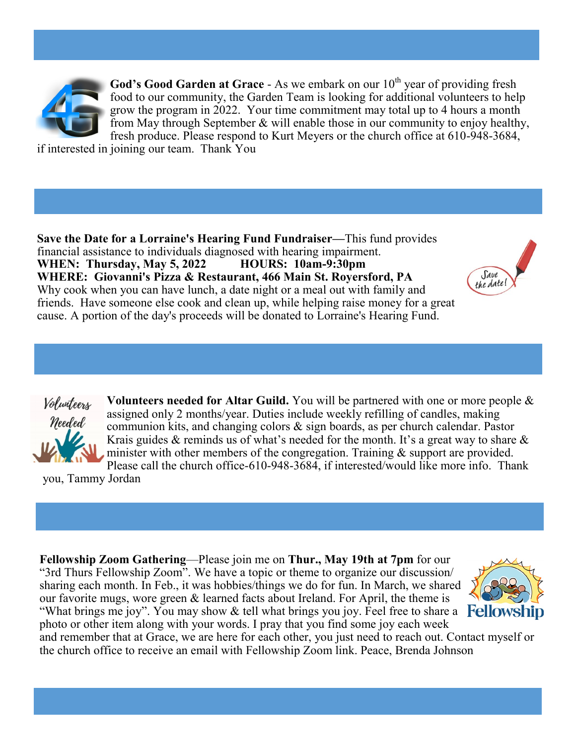

**God's Good Garden at Grace -** As we embark on our  $10<sup>th</sup>$  year of providing fresh food to our community, the Garden Team is looking for additional volunteers to help grow the program in 2022. Your time commitment may total up to 4 hours a month from May through September & will enable those in our community to enjoy healthy, fresh produce. Please respond to [Kurt Meyers or the church office at 610](mailto:kmeyers413@verizon.net)-948-3684,

if interested in joining our team. Thank You

**Save the Date for a Lorraine's Hearing Fund Fundraiser—**This fund provides financial assistance to individuals diagnosed with hearing impairment. **WHEN: Thursday, May 5, 2022 HOURS: 10am-9:30pm WHERE: Giovanni's Pizza & Restaurant, 466 Main St. Royersford, PA** Why cook when you can have lunch, a date night or a meal out with family and friends. Have someone else cook and clean up, while helping raise money for a great cause. A portion of the day's proceeds will be donated to Lorraine's Hearing Fund.





**Volunteers needed for Altar Guild.** You will be partnered with one or more people & assigned only 2 months/year. Duties include weekly refilling of candles, making communion kits, and changing colors & sign boards, as per church calendar. Pastor Krais guides  $\&$  reminds us of what's needed for the month. It's a great way to share  $\&$ minister with other members of the congregation. Training & support are provided. Please call the church office-610-948-3684, if interested/would like more info. Thank

you, Tammy Jordan

**Fellowship Zoom Gathering**—Please join me on **Thur., May 19th at 7pm** for our "3rd Thurs Fellowship Zoom". We have a topic or theme to organize our discussion/ sharing each month. In Feb., it was hobbies/things we do for fun. In March, we shared our favorite mugs, wore green & learned facts about Ireland. For April, the theme is "What brings me joy". You may show  $\&$  tell what brings you joy. Feel free to share a **Fellowship** photo or other item along with your words. I pray that you find some joy each week



and remember that at Grace, we are here for each other, you just need to reach out. Contact myself or the church office to receive an email with Fellowship Zoom link. Peace, Brenda Johnson